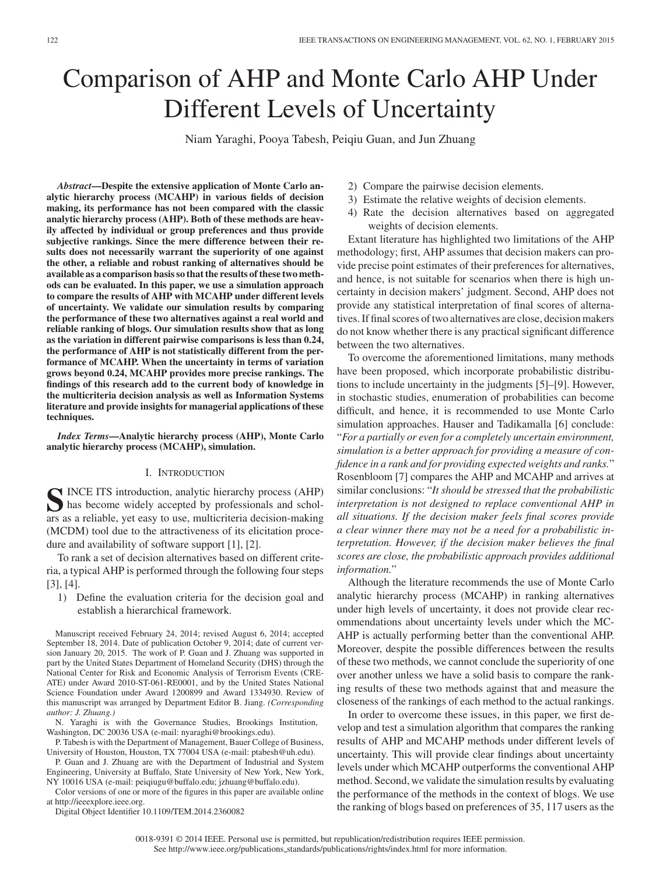# Comparison of AHP and Monte Carlo AHP Under Different Levels of Uncertainty

Niam Yaraghi, Pooya Tabesh, Peiqiu Guan, and Jun Zhuang

*Abstract***—Despite the extensive application of Monte Carlo analytic hierarchy process (MCAHP) in various fields of decision making, its performance has not been compared with the classic analytic hierarchy process (AHP). Both of these methods are heavily affected by individual or group preferences and thus provide subjective rankings. Since the mere difference between their results does not necessarily warrant the superiority of one against the other, a reliable and robust ranking of alternatives should be available as a comparison basis so that the results of these two methods can be evaluated. In this paper, we use a simulation approach to compare the results of AHP with MCAHP under different levels of uncertainty. We validate our simulation results by comparing the performance of these two alternatives against a real world and reliable ranking of blogs. Our simulation results show that as long as the variation in different pairwise comparisons is less than 0.24, the performance of AHP is not statistically different from the performance of MCAHP. When the uncertainty in terms of variation grows beyond 0.24, MCAHP provides more precise rankings. The findings of this research add to the current body of knowledge in the multicriteria decision analysis as well as Information Systems literature and provide insights for managerial applications of these techniques.**

*Index Terms***—Analytic hierarchy process (AHP), Monte Carlo analytic hierarchy process (MCAHP), simulation.**

# I. INTRODUCTION

**S**INCE ITS introduction, analytic hierarchy process (AHP) has become widely accepted by professionals and scholars as a reliable, yet easy to use, multicriteria decision-making (MCDM) tool due to the attractiveness of its elicitation procedure and availability of software support [1], [2].

To rank a set of decision alternatives based on different criteria, a typical AHP is performed through the following four steps [3], [4].

1) Define the evaluation criteria for the decision goal and establish a hierarchical framework.

Manuscript received February 24, 2014; revised August 6, 2014; accepted September 18, 2014. Date of publication October 9, 2014; date of current version January 20, 2015. The work of P. Guan and J. Zhuang was supported in part by the United States Department of Homeland Security (DHS) through the National Center for Risk and Economic Analysis of Terrorism Events (CRE-ATE) under Award 2010-ST-061-RE0001, and by the United States National Science Foundation under Award 1200899 and Award 1334930. Review of this manuscript was arranged by Department Editor B. Jiang. *(Corresponding author: J. Zhuang.)*

N. Yaraghi is with the Governance Studies, Brookings Institution, Washington, DC 20036 USA (e-mail: nyaraghi@brookings.edu).

P. Tabesh is with the Department of Management, Bauer College of Business, University of Houston, Houston, TX 77004 USA (e-mail: ptabesh@uh.edu).

P. Guan and J. Zhuang are with the Department of Industrial and System Engineering, University at Buffalo, State University of New York, New York, NY 10016 USA (e-mail: peiqiugu@buffalo.edu; jzhuang@buffalo.edu).

Color versions of one or more of the figures in this paper are available online at http://ieeexplore.ieee.org.

Digital Object Identifier 10.1109/TEM.2014.2360082

- 2) Compare the pairwise decision elements.
- 3) Estimate the relative weights of decision elements.
- 4) Rate the decision alternatives based on aggregated weights of decision elements.

Extant literature has highlighted two limitations of the AHP methodology; first, AHP assumes that decision makers can provide precise point estimates of their preferences for alternatives, and hence, is not suitable for scenarios when there is high uncertainty in decision makers' judgment. Second, AHP does not provide any statistical interpretation of final scores of alternatives. If final scores of two alternatives are close, decision makers do not know whether there is any practical significant difference between the two alternatives.

To overcome the aforementioned limitations, many methods have been proposed, which incorporate probabilistic distributions to include uncertainty in the judgments [5]–[9]. However, in stochastic studies, enumeration of probabilities can become difficult, and hence, it is recommended to use Monte Carlo simulation approaches. Hauser and Tadikamalla [6] conclude: "*For a partially or even for a completely uncertain environment, simulation is a better approach for providing a measure of confidence in a rank and for providing expected weights and ranks.*" Rosenbloom [7] compares the AHP and MCAHP and arrives at similar conclusions: "*It should be stressed that the probabilistic interpretation is not designed to replace conventional AHP in all situations. If the decision maker feels final scores provide a clear winner there may not be a need for a probabilistic interpretation. However, if the decision maker believes the final scores are close, the probabilistic approach provides additional information.*"

Although the literature recommends the use of Monte Carlo analytic hierarchy process (MCAHP) in ranking alternatives under high levels of uncertainty, it does not provide clear recommendations about uncertainty levels under which the MC-AHP is actually performing better than the conventional AHP. Moreover, despite the possible differences between the results of these two methods, we cannot conclude the superiority of one over another unless we have a solid basis to compare the ranking results of these two methods against that and measure the closeness of the rankings of each method to the actual rankings.

In order to overcome these issues, in this paper, we first develop and test a simulation algorithm that compares the ranking results of AHP and MCAHP methods under different levels of uncertainty. This will provide clear findings about uncertainty levels under which MCAHP outperforms the conventional AHP method. Second, we validate the simulation results by evaluating the performance of the methods in the context of blogs. We use the ranking of blogs based on preferences of 35, 117 users as the

0018-9391 © 2014 IEEE. Personal use is permitted, but republication/redistribution requires IEEE permission. See http://www.ieee.org/publications\_standards/publications/rights/index.html for more information.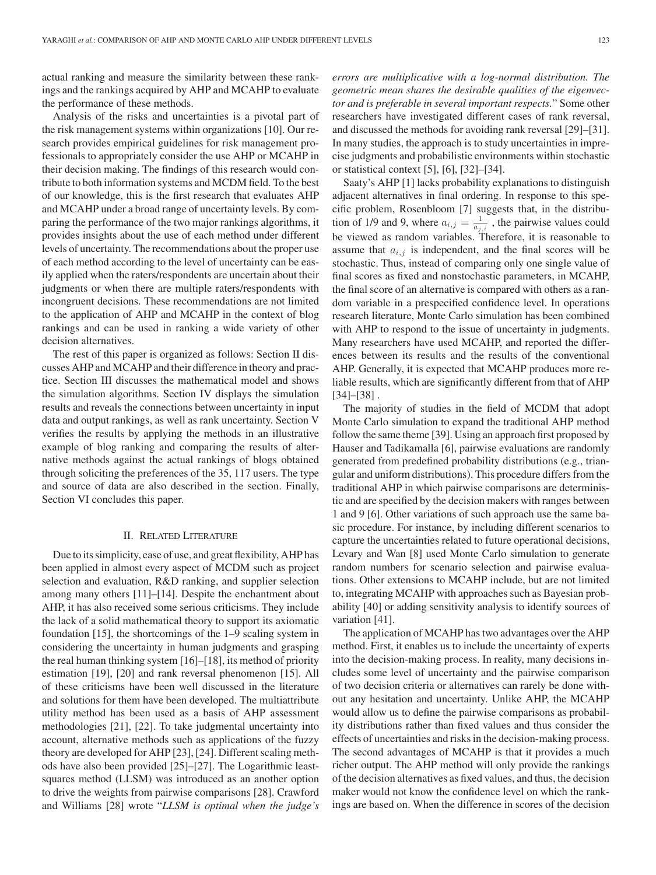actual ranking and measure the similarity between these rankings and the rankings acquired by AHP and MCAHP to evaluate the performance of these methods.

Analysis of the risks and uncertainties is a pivotal part of the risk management systems within organizations [10]. Our research provides empirical guidelines for risk management professionals to appropriately consider the use AHP or MCAHP in their decision making. The findings of this research would contribute to both information systems and MCDM field. To the best of our knowledge, this is the first research that evaluates AHP and MCAHP under a broad range of uncertainty levels. By comparing the performance of the two major rankings algorithms, it provides insights about the use of each method under different levels of uncertainty. The recommendations about the proper use of each method according to the level of uncertainty can be easily applied when the raters/respondents are uncertain about their judgments or when there are multiple raters/respondents with incongruent decisions. These recommendations are not limited to the application of AHP and MCAHP in the context of blog rankings and can be used in ranking a wide variety of other decision alternatives.

The rest of this paper is organized as follows: Section II discusses AHP and MCAHP and their difference in theory and practice. Section III discusses the mathematical model and shows the simulation algorithms. Section IV displays the simulation results and reveals the connections between uncertainty in input data and output rankings, as well as rank uncertainty. Section V verifies the results by applying the methods in an illustrative example of blog ranking and comparing the results of alternative methods against the actual rankings of blogs obtained through soliciting the preferences of the 35, 117 users. The type and source of data are also described in the section. Finally, Section VI concludes this paper.

## II. RELATED LITERATURE

Due to its simplicity, ease of use, and great flexibility, AHP has been applied in almost every aspect of MCDM such as project selection and evaluation, R&D ranking, and supplier selection among many others [11]–[14]. Despite the enchantment about AHP, it has also received some serious criticisms. They include the lack of a solid mathematical theory to support its axiomatic foundation [15], the shortcomings of the 1–9 scaling system in considering the uncertainty in human judgments and grasping the real human thinking system [16]–[18], its method of priority estimation [19], [20] and rank reversal phenomenon [15]. All of these criticisms have been well discussed in the literature and solutions for them have been developed. The multiattribute utility method has been used as a basis of AHP assessment methodologies [21], [22]. To take judgmental uncertainty into account, alternative methods such as applications of the fuzzy theory are developed for AHP [23], [24]. Different scaling methods have also been provided [25]–[27]. The Logarithmic leastsquares method (LLSM) was introduced as an another option to drive the weights from pairwise comparisons [28]. Crawford and Williams [28] wrote "*LLSM is optimal when the judge's* *errors are multiplicative with a log-normal distribution. The geometric mean shares the desirable qualities of the eigenvector and is preferable in several important respects.*" Some other researchers have investigated different cases of rank reversal, and discussed the methods for avoiding rank reversal [29]–[31]. In many studies, the approach is to study uncertainties in imprecise judgments and probabilistic environments within stochastic or statistical context [5], [6], [32]–[34].

Saaty's AHP [1] lacks probability explanations to distinguish adjacent alternatives in final ordering. In response to this specific problem, Rosenbloom [7] suggests that, in the distribution of 1/9 and 9, where  $a_{i,j} = \frac{1}{a_{j,i}}$ , the pairwise values could be viewed as random variables. Therefore, it is reasonable to assume that  $a_{i,j}$  is independent, and the final scores will be stochastic. Thus, instead of comparing only one single value of final scores as fixed and nonstochastic parameters, in MCAHP, the final score of an alternative is compared with others as a random variable in a prespecified confidence level. In operations research literature, Monte Carlo simulation has been combined with AHP to respond to the issue of uncertainty in judgments. Many researchers have used MCAHP, and reported the differences between its results and the results of the conventional AHP. Generally, it is expected that MCAHP produces more reliable results, which are significantly different from that of AHP  $[34]$ – $[38]$ .

The majority of studies in the field of MCDM that adopt Monte Carlo simulation to expand the traditional AHP method follow the same theme [39]. Using an approach first proposed by Hauser and Tadikamalla [6], pairwise evaluations are randomly generated from predefined probability distributions (e.g., triangular and uniform distributions). This procedure differs from the traditional AHP in which pairwise comparisons are deterministic and are specified by the decision makers with ranges between 1 and 9 [6]. Other variations of such approach use the same basic procedure. For instance, by including different scenarios to capture the uncertainties related to future operational decisions, Levary and Wan [8] used Monte Carlo simulation to generate random numbers for scenario selection and pairwise evaluations. Other extensions to MCAHP include, but are not limited to, integrating MCAHP with approaches such as Bayesian probability [40] or adding sensitivity analysis to identify sources of variation [41].

The application of MCAHP has two advantages over the AHP method. First, it enables us to include the uncertainty of experts into the decision-making process. In reality, many decisions includes some level of uncertainty and the pairwise comparison of two decision criteria or alternatives can rarely be done without any hesitation and uncertainty. Unlike AHP, the MCAHP would allow us to define the pairwise comparisons as probability distributions rather than fixed values and thus consider the effects of uncertainties and risks in the decision-making process. The second advantages of MCAHP is that it provides a much richer output. The AHP method will only provide the rankings of the decision alternatives as fixed values, and thus, the decision maker would not know the confidence level on which the rankings are based on. When the difference in scores of the decision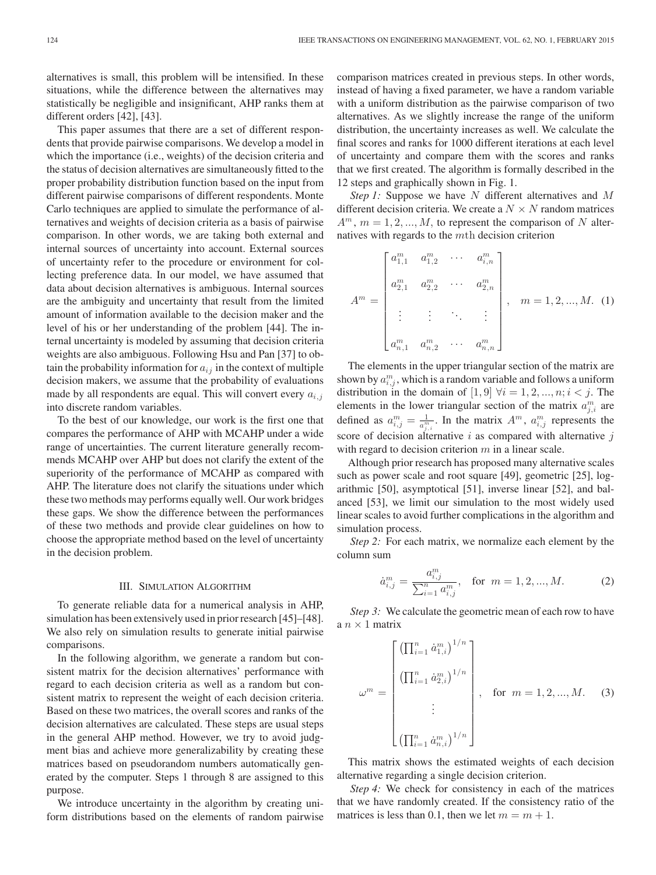alternatives is small, this problem will be intensified. In these situations, while the difference between the alternatives may statistically be negligible and insignificant, AHP ranks them at different orders [42], [43].

This paper assumes that there are a set of different respondents that provide pairwise comparisons. We develop a model in which the importance (i.e., weights) of the decision criteria and the status of decision alternatives are simultaneously fitted to the proper probability distribution function based on the input from different pairwise comparisons of different respondents. Monte Carlo techniques are applied to simulate the performance of alternatives and weights of decision criteria as a basis of pairwise comparison. In other words, we are taking both external and internal sources of uncertainty into account. External sources of uncertainty refer to the procedure or environment for collecting preference data. In our model, we have assumed that data about decision alternatives is ambiguous. Internal sources are the ambiguity and uncertainty that result from the limited amount of information available to the decision maker and the level of his or her understanding of the problem [44]. The internal uncertainty is modeled by assuming that decision criteria weights are also ambiguous. Following Hsu and Pan [37] to obtain the probability information for  $a_{ij}$  in the context of multiple decision makers, we assume that the probability of evaluations made by all respondents are equal. This will convert every  $a_{i,j}$ into discrete random variables.

To the best of our knowledge, our work is the first one that compares the performance of AHP with MCAHP under a wide range of uncertainties. The current literature generally recommends MCAHP over AHP but does not clarify the extent of the superiority of the performance of MCAHP as compared with AHP. The literature does not clarify the situations under which these two methods may performs equally well. Our work bridges these gaps. We show the difference between the performances of these two methods and provide clear guidelines on how to choose the appropriate method based on the level of uncertainty in the decision problem.

## III. SIMULATION ALGORITHM

To generate reliable data for a numerical analysis in AHP, simulation has been extensively used in prior research [45]–[48]. We also rely on simulation results to generate initial pairwise comparisons.

In the following algorithm, we generate a random but consistent matrix for the decision alternatives' performance with regard to each decision criteria as well as a random but consistent matrix to represent the weight of each decision criteria. Based on these two matrices, the overall scores and ranks of the decision alternatives are calculated. These steps are usual steps in the general AHP method. However, we try to avoid judgment bias and achieve more generalizability by creating these matrices based on pseudorandom numbers automatically generated by the computer. Steps 1 through 8 are assigned to this purpose.

We introduce uncertainty in the algorithm by creating uniform distributions based on the elements of random pairwise comparison matrices created in previous steps. In other words, instead of having a fixed parameter, we have a random variable with a uniform distribution as the pairwise comparison of two alternatives. As we slightly increase the range of the uniform distribution, the uncertainty increases as well. We calculate the final scores and ranks for 1000 different iterations at each level of uncertainty and compare them with the scores and ranks that we first created. The algorithm is formally described in the 12 steps and graphically shown in Fig. 1.

*Step 1:* Suppose we have N different alternatives and M different decision criteria. We create a  $N \times N$  random matrices  $A^m$ ,  $m = 1, 2, ..., M$ , to represent the comparison of N alternatives with regards to the mth decision criterion

$$
A^{m} = \begin{bmatrix} a_{1,1}^{m} & a_{1,2}^{m} & \cdots & a_{i,n}^{m} \\ a_{2,1}^{m} & a_{2,2}^{m} & \cdots & a_{2,n}^{m} \\ \vdots & \vdots & \ddots & \vdots \\ a_{n,1}^{m} & a_{n,2}^{m} & \cdots & a_{n,n}^{m} \end{bmatrix}, \quad m = 1,2,...,M.
$$
 (1)

The elements in the upper triangular section of the matrix are shown by  $a_{i,j}^m$ , which is a random variable and follows a uniform distribution in the domain of  $[1, 9]$   $\forall i = 1, 2, ..., n; i < j$ . The elements in the lower triangular section of the matrix  $a_{j,i}^m$  are defined as  $a_{i,j}^m = \frac{1}{a_{j,i}^m}$ . In the matrix  $A^m$ ,  $a_{i,j}^m$  represents the score of decision alternative  $i$  as compared with alternative  $j$ with regard to decision criterion  $m$  in a linear scale.

Although prior research has proposed many alternative scales such as power scale and root square [49], geometric [25], logarithmic [50], asymptotical [51], inverse linear [52], and balanced [53], we limit our simulation to the most widely used linear scales to avoid further complications in the algorithm and simulation process.

*Step 2:* For each matrix, we normalize each element by the column sum

$$
\dot{a}_{i,j}^m = \frac{a_{i,j}^m}{\sum_{i=1}^n a_{i,j}^m}, \quad \text{for } m = 1, 2, ..., M. \tag{2}
$$

*Step 3:* We calculate the geometric mean of each row to have a  $n \times 1$  matrix

$$
\omega^{m} = \begin{bmatrix} \left( \prod_{i=1}^{n} \dot{a}_{1,i}^{m} \right)^{1/n} \\ \left( \prod_{i=1}^{n} \dot{a}_{2,i}^{m} \right)^{1/n} \\ \vdots \\ \left( \prod_{i=1}^{n} \dot{a}_{n,i}^{m} \right)^{1/n} \end{bmatrix}, \quad \text{for } m = 1, 2, ..., M. \quad (3)
$$

This matrix shows the estimated weights of each decision alternative regarding a single decision criterion.

*Step 4:* We check for consistency in each of the matrices that we have randomly created. If the consistency ratio of the matrices is less than 0.1, then we let  $m = m + 1$ .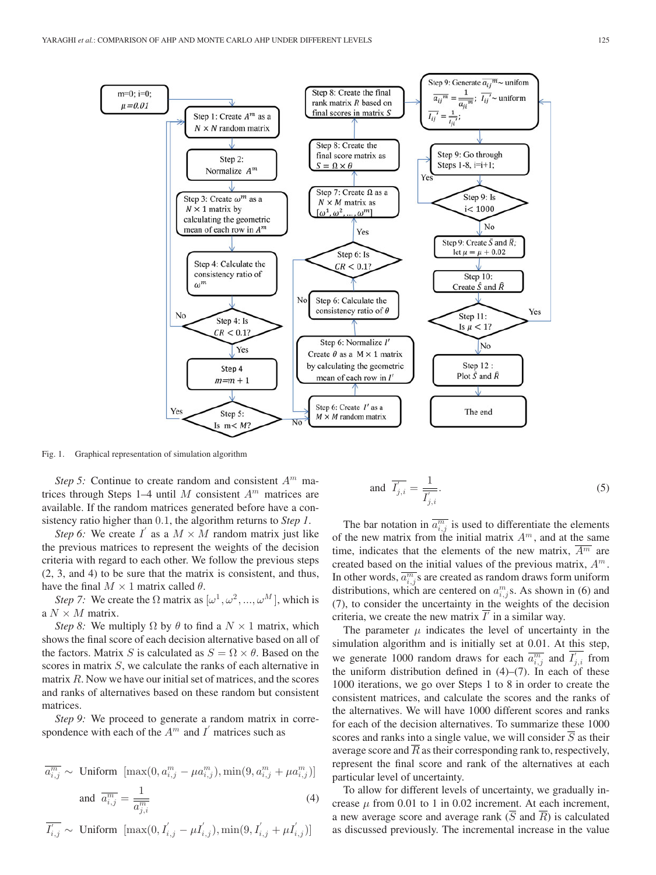

Fig. 1. Graphical representation of simulation algorithm

*Step 5:* Continue to create random and consistent  $A<sup>m</sup>$  matrices through Steps 1–4 until M consistent  $A<sup>m</sup>$  matrices are available. If the random matrices generated before have a consistency ratio higher than 0.1, the algorithm returns to *Step 1*.

*Step 6:* We create  $I'$  as a  $M \times M$  random matrix just like the previous matrices to represent the weights of the decision criteria with regard to each other. We follow the previous steps (2, 3, and 4) to be sure that the matrix is consistent, and thus, have the final  $M \times 1$  matrix called  $\theta$ .

*Step 7:* We create the  $\Omega$  matrix as  $[\omega^1, \omega^2, ..., \omega^M]$ , which is a  $N \times M$  matrix.

*Step 8:* We multiply  $\Omega$  by  $\theta$  to find a  $N \times 1$  matrix, which shows the final score of each decision alternative based on all of the factors. Matrix S is calculated as  $S = \Omega \times \theta$ . Based on the scores in matrix S, we calculate the ranks of each alternative in matrix  $R$ . Now we have our initial set of matrices, and the scores and ranks of alternatives based on these random but consistent matrices.

*Step 9:* We proceed to generate a random matrix in correspondence with each of the  $A^m$  and  $I'$  matrices such as

$$
\overline{a_{i,j}^m} \sim \text{Uniform } [\max(0, a_{i,j}^m - \mu a_{i,j}^m), \min(9, a_{i,j}^m + \mu a_{i,j}^m)]
$$
\n
$$
\text{and } \overline{a_{i,j}^m} = \frac{1}{\overline{a_{j,i}^m}}
$$
\n(4)

$$
\overline{I'_{i,j}} \sim \text{ Uniform } [\max(0, I'_{i,j} - \mu I'_{i,j}), \min(9, I'_{i,j} + \mu I'_{i,j})]
$$

and 
$$
\overline{I'_{j,i}} = \frac{1}{\overline{I'_{j,i}}}.
$$
 (5)

The bar notation in  $\overline{a^m_{i,j}}$  is used to differentiate the elements of the new matrix from the initial matrix  $A<sup>m</sup>$ , and at the same time, indicates that the elements of the new matrix,  $\overline{A^m}$  are created based on the initial values of the previous matrix,  $A<sup>m</sup>$ . In other words,  $\overline{a^m_{i,j}}$ s are created as random draws form uniform distributions, which are centered on  $a_{i,j}^m$ s. As shown in (6) and (7), to consider the uncertainty in the weights of the decision criteria, we create the new matrix  $\overline{I}'$  in a similar way.

The parameter  $\mu$  indicates the level of uncertainty in the simulation algorithm and is initially set at 0.01. At this step, we generate 1000 random draws for each  $\overline{a_{i,j}^m}$  and  $\overline{I'_{j,i}}$  from the uniform distribution defined in  $(4)$ – $(7)$ . In each of these 1000 iterations, we go over Steps 1 to 8 in order to create the consistent matrices, and calculate the scores and the ranks of the alternatives. We will have 1000 different scores and ranks for each of the decision alternatives. To summarize these 1000 scores and ranks into a single value, we will consider  $\overline{S}$  as their average score and  $\overline{R}$  as their corresponding rank to, respectively, represent the final score and rank of the alternatives at each particular level of uncertainty.

To allow for different levels of uncertainty, we gradually increase  $\mu$  from 0.01 to 1 in 0.02 increment. At each increment, a new average score and average rank  $(\overline{S}$  and  $\overline{R}$ ) is calculated as discussed previously. The incremental increase in the value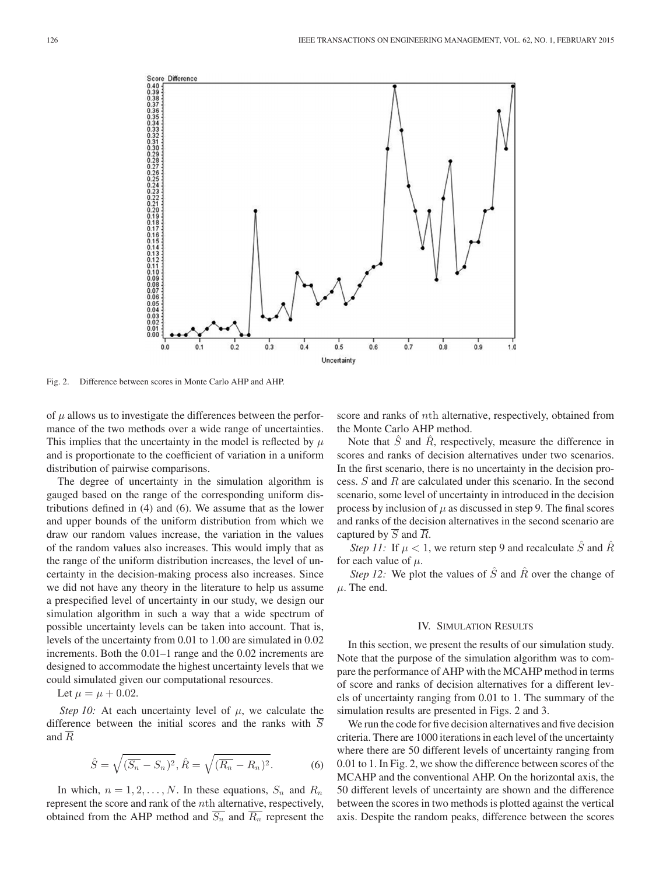

Fig. 2. Difference between scores in Monte Carlo AHP and AHP.

of  $\mu$  allows us to investigate the differences between the performance of the two methods over a wide range of uncertainties. This implies that the uncertainty in the model is reflected by  $\mu$ and is proportionate to the coefficient of variation in a uniform distribution of pairwise comparisons.

The degree of uncertainty in the simulation algorithm is gauged based on the range of the corresponding uniform distributions defined in (4) and (6). We assume that as the lower and upper bounds of the uniform distribution from which we draw our random values increase, the variation in the values of the random values also increases. This would imply that as the range of the uniform distribution increases, the level of uncertainty in the decision-making process also increases. Since we did not have any theory in the literature to help us assume a prespecified level of uncertainty in our study, we design our simulation algorithm in such a way that a wide spectrum of possible uncertainty levels can be taken into account. That is, levels of the uncertainty from 0.01 to 1.00 are simulated in 0.02 increments. Both the 0.01–1 range and the 0.02 increments are designed to accommodate the highest uncertainty levels that we could simulated given our computational resources.

Let  $\mu = \mu + 0.02$ .

*Step 10:* At each uncertainty level of  $\mu$ , we calculate the difference between the initial scores and the ranks with  $\overline{S}$ and  $\overline{R}$ 

$$
\hat{S} = \sqrt{(\overline{S_n} - S_n)^2}, \hat{R} = \sqrt{(\overline{R_n} - R_n)^2}.
$$
 (6)

In which,  $n = 1, 2, \ldots, N$ . In these equations,  $S_n$  and  $R_n$ represent the score and rank of the nth alternative, respectively, obtained from the AHP method and  $\overline{S_n}$  and  $\overline{R_n}$  represent the score and ranks of *nth* alternative, respectively, obtained from the Monte Carlo AHP method.

Note that  $\hat{S}$  and  $\hat{R}$ , respectively, measure the difference in scores and ranks of decision alternatives under two scenarios. In the first scenario, there is no uncertainty in the decision process. S and R are calculated under this scenario. In the second scenario, some level of uncertainty in introduced in the decision process by inclusion of  $\mu$  as discussed in step 9. The final scores and ranks of the decision alternatives in the second scenario are captured by  $\overline{S}$  and  $\overline{R}$ .

*Step 11:* If  $\mu < 1$ , we return step 9 and recalculate  $\hat{S}$  and  $\hat{R}$ for each value of  $\mu$ .

*Step 12:* We plot the values of  $\hat{S}$  and  $\hat{R}$  over the change of  $\mu$ . The end.

# IV. SIMULATION RESULTS

In this section, we present the results of our simulation study. Note that the purpose of the simulation algorithm was to compare the performance of AHP with the MCAHP method in terms of score and ranks of decision alternatives for a different levels of uncertainty ranging from 0.01 to 1. The summary of the simulation results are presented in Figs. 2 and 3.

We run the code for five decision alternatives and five decision criteria. There are 1000 iterations in each level of the uncertainty where there are 50 different levels of uncertainty ranging from 0.01 to 1. In Fig. 2, we show the difference between scores of the MCAHP and the conventional AHP. On the horizontal axis, the 50 different levels of uncertainty are shown and the difference between the scores in two methods is plotted against the vertical axis. Despite the random peaks, difference between the scores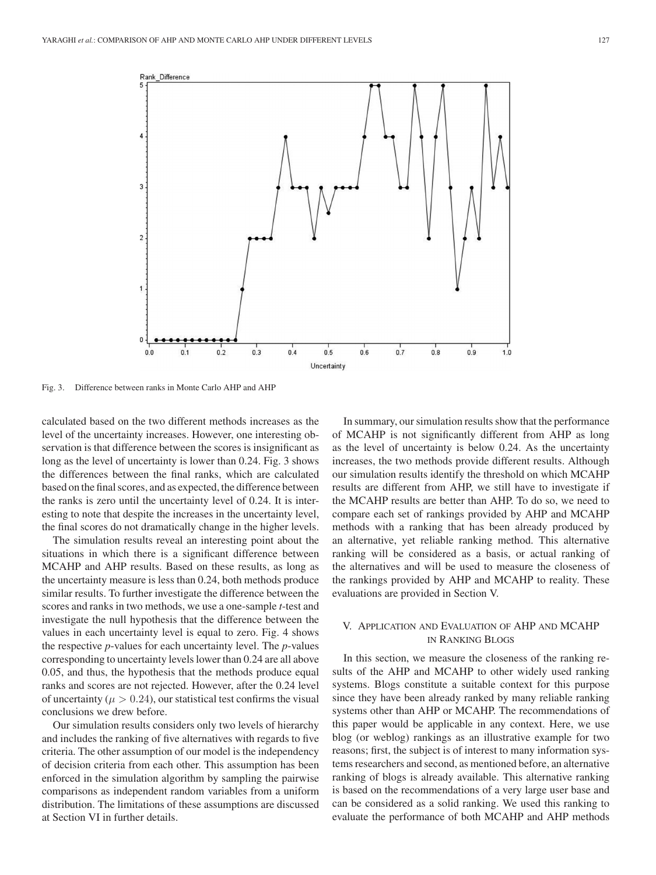

Fig. 3. Difference between ranks in Monte Carlo AHP and AHP

calculated based on the two different methods increases as the level of the uncertainty increases. However, one interesting observation is that difference between the scores is insignificant as long as the level of uncertainty is lower than 0.24. Fig. 3 shows the differences between the final ranks, which are calculated based on the final scores, and as expected, the difference between the ranks is zero until the uncertainty level of 0.24. It is interesting to note that despite the increases in the uncertainty level, the final scores do not dramatically change in the higher levels.

The simulation results reveal an interesting point about the situations in which there is a significant difference between MCAHP and AHP results. Based on these results, as long as the uncertainty measure is less than 0.24, both methods produce similar results. To further investigate the difference between the scores and ranks in two methods, we use a one-sample *t*-test and investigate the null hypothesis that the difference between the values in each uncertainty level is equal to zero. Fig. 4 shows the respective *p*-values for each uncertainty level. The *p*-values corresponding to uncertainty levels lower than 0.24 are all above 0.05, and thus, the hypothesis that the methods produce equal ranks and scores are not rejected. However, after the 0.24 level of uncertainty ( $\mu > 0.24$ ), our statistical test confirms the visual conclusions we drew before.

Our simulation results considers only two levels of hierarchy and includes the ranking of five alternatives with regards to five criteria. The other assumption of our model is the independency of decision criteria from each other. This assumption has been enforced in the simulation algorithm by sampling the pairwise comparisons as independent random variables from a uniform distribution. The limitations of these assumptions are discussed at Section VI in further details.

In summary, our simulation results show that the performance of MCAHP is not significantly different from AHP as long as the level of uncertainty is below 0.24. As the uncertainty increases, the two methods provide different results. Although our simulation results identify the threshold on which MCAHP results are different from AHP, we still have to investigate if the MCAHP results are better than AHP. To do so, we need to compare each set of rankings provided by AHP and MCAHP methods with a ranking that has been already produced by an alternative, yet reliable ranking method. This alternative ranking will be considered as a basis, or actual ranking of the alternatives and will be used to measure the closeness of the rankings provided by AHP and MCAHP to reality. These evaluations are provided in Section V.

# V. APPLICATION AND EVALUATION OF AHP AND MCAHP IN RANKING BLOGS

In this section, we measure the closeness of the ranking results of the AHP and MCAHP to other widely used ranking systems. Blogs constitute a suitable context for this purpose since they have been already ranked by many reliable ranking systems other than AHP or MCAHP. The recommendations of this paper would be applicable in any context. Here, we use blog (or weblog) rankings as an illustrative example for two reasons; first, the subject is of interest to many information systems researchers and second, as mentioned before, an alternative ranking of blogs is already available. This alternative ranking is based on the recommendations of a very large user base and can be considered as a solid ranking. We used this ranking to evaluate the performance of both MCAHP and AHP methods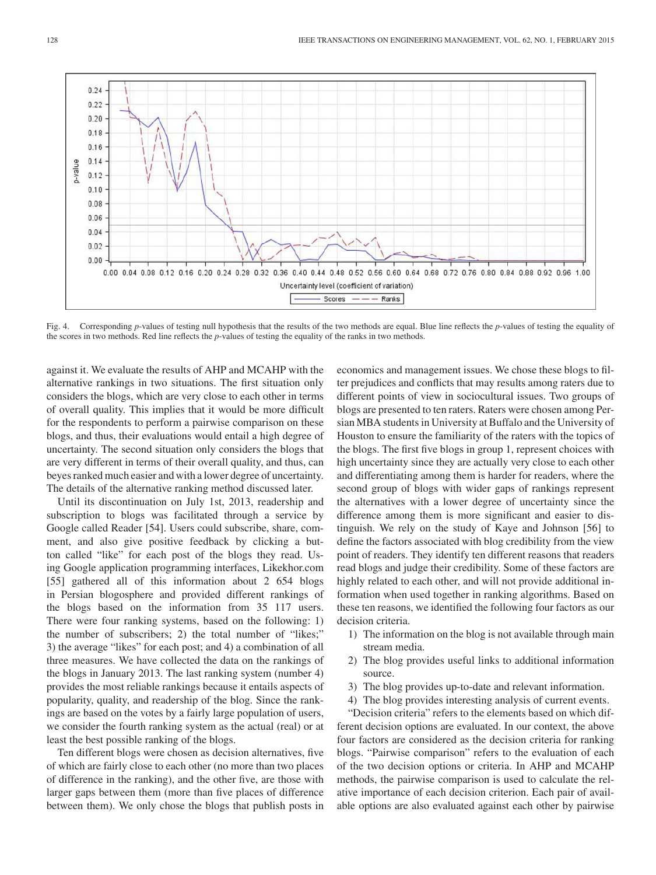

Fig. 4. Corresponding *p*-values of testing null hypothesis that the results of the two methods are equal. Blue line reflects the *p*-values of testing the equality of the scores in two methods. Red line reflects the *p*-values of testing the equality of the ranks in two methods.

against it. We evaluate the results of AHP and MCAHP with the alternative rankings in two situations. The first situation only considers the blogs, which are very close to each other in terms of overall quality. This implies that it would be more difficult for the respondents to perform a pairwise comparison on these blogs, and thus, their evaluations would entail a high degree of uncertainty. The second situation only considers the blogs that are very different in terms of their overall quality, and thus, can beyes ranked much easier and with a lower degree of uncertainty. The details of the alternative ranking method discussed later.

Until its discontinuation on July 1st, 2013, readership and subscription to blogs was facilitated through a service by Google called Reader [54]. Users could subscribe, share, comment, and also give positive feedback by clicking a button called "like" for each post of the blogs they read. Using Google application programming interfaces, Likekhor.com [55] gathered all of this information about 2 654 blogs in Persian blogosphere and provided different rankings of the blogs based on the information from 35 117 users. There were four ranking systems, based on the following: 1) the number of subscribers; 2) the total number of "likes;" 3) the average "likes" for each post; and 4) a combination of all three measures. We have collected the data on the rankings of the blogs in January 2013. The last ranking system (number 4) provides the most reliable rankings because it entails aspects of popularity, quality, and readership of the blog. Since the rankings are based on the votes by a fairly large population of users, we consider the fourth ranking system as the actual (real) or at least the best possible ranking of the blogs.

Ten different blogs were chosen as decision alternatives, five of which are fairly close to each other (no more than two places of difference in the ranking), and the other five, are those with larger gaps between them (more than five places of difference between them). We only chose the blogs that publish posts in economics and management issues. We chose these blogs to filter prejudices and conflicts that may results among raters due to different points of view in sociocultural issues. Two groups of blogs are presented to ten raters. Raters were chosen among Persian MBA students in University at Buffalo and the University of Houston to ensure the familiarity of the raters with the topics of the blogs. The first five blogs in group 1, represent choices with high uncertainty since they are actually very close to each other and differentiating among them is harder for readers, where the second group of blogs with wider gaps of rankings represent the alternatives with a lower degree of uncertainty since the difference among them is more significant and easier to distinguish. We rely on the study of Kaye and Johnson [56] to define the factors associated with blog credibility from the view point of readers. They identify ten different reasons that readers read blogs and judge their credibility. Some of these factors are highly related to each other, and will not provide additional information when used together in ranking algorithms. Based on these ten reasons, we identified the following four factors as our decision criteria.

- 1) The information on the blog is not available through main stream media.
- 2) The blog provides useful links to additional information source.
- 3) The blog provides up-to-date and relevant information.
- 4) The blog provides interesting analysis of current events.

"Decision criteria" refers to the elements based on which different decision options are evaluated. In our context, the above four factors are considered as the decision criteria for ranking blogs. "Pairwise comparison" refers to the evaluation of each of the two decision options or criteria. In AHP and MCAHP methods, the pairwise comparison is used to calculate the relative importance of each decision criterion. Each pair of available options are also evaluated against each other by pairwise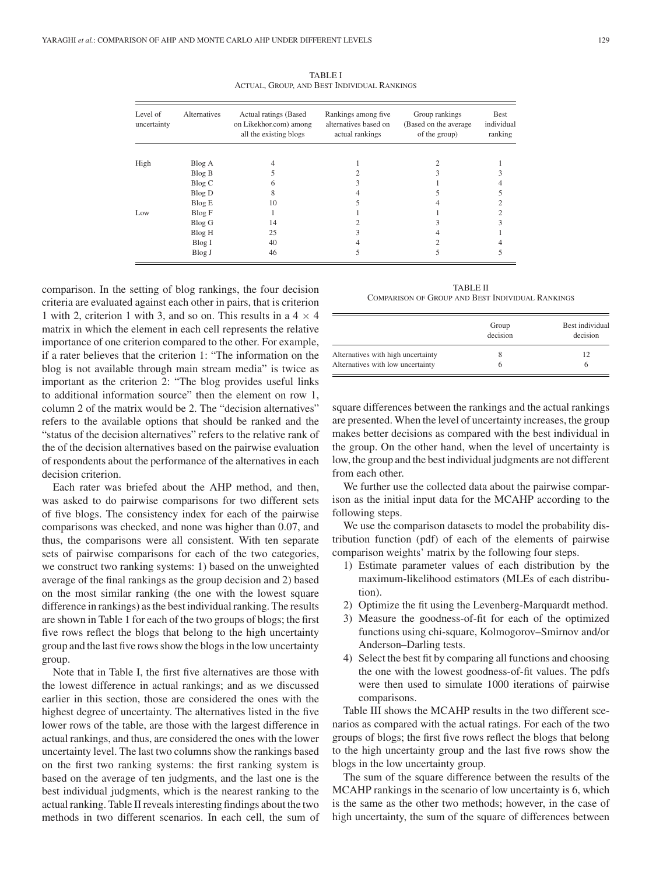| Level of<br>uncertainty | Alternatives | Actual ratings (Based)<br>on Likekhor.com) among<br>all the existing blogs | Rankings among five<br>alternatives based on<br>actual rankings | Group rankings<br>(Based on the average)<br>of the group) | <b>Best</b><br>individual<br>ranking |
|-------------------------|--------------|----------------------------------------------------------------------------|-----------------------------------------------------------------|-----------------------------------------------------------|--------------------------------------|
| High                    | Blog A       |                                                                            |                                                                 |                                                           |                                      |
|                         | Blog B       |                                                                            |                                                                 |                                                           |                                      |
|                         | Blog C       |                                                                            |                                                                 |                                                           |                                      |
|                         | Blog D       | 8                                                                          |                                                                 |                                                           |                                      |
|                         | Blog E       | 10                                                                         |                                                                 |                                                           |                                      |
| Low                     | Blog F       |                                                                            |                                                                 |                                                           |                                      |
|                         | Blog G       | 14                                                                         |                                                                 |                                                           |                                      |
|                         | Blog H       | 25                                                                         |                                                                 |                                                           |                                      |
|                         | Blog I       | 40                                                                         |                                                                 |                                                           |                                      |
|                         | Blog J       | 46                                                                         |                                                                 |                                                           |                                      |

TABLE I ACTUAL, GROUP, AND BEST INDIVIDUAL RANKINGS

comparison. In the setting of blog rankings, the four decision criteria are evaluated against each other in pairs, that is criterion 1 with 2, criterion 1 with 3, and so on. This results in a  $4 \times 4$ matrix in which the element in each cell represents the relative importance of one criterion compared to the other. For example, if a rater believes that the criterion 1: "The information on the blog is not available through main stream media" is twice as important as the criterion 2: "The blog provides useful links to additional information source" then the element on row 1, column 2 of the matrix would be 2. The "decision alternatives" refers to the available options that should be ranked and the "status of the decision alternatives" refers to the relative rank of the of the decision alternatives based on the pairwise evaluation of respondents about the performance of the alternatives in each decision criterion.

Each rater was briefed about the AHP method, and then, was asked to do pairwise comparisons for two different sets of five blogs. The consistency index for each of the pairwise comparisons was checked, and none was higher than 0.07, and thus, the comparisons were all consistent. With ten separate sets of pairwise comparisons for each of the two categories, we construct two ranking systems: 1) based on the unweighted average of the final rankings as the group decision and 2) based on the most similar ranking (the one with the lowest square difference in rankings) as the best individual ranking. The results are shown in Table 1 for each of the two groups of blogs; the first five rows reflect the blogs that belong to the high uncertainty group and the last five rows show the blogs in the low uncertainty group.

Note that in Table I, the first five alternatives are those with the lowest difference in actual rankings; and as we discussed earlier in this section, those are considered the ones with the highest degree of uncertainty. The alternatives listed in the five lower rows of the table, are those with the largest difference in actual rankings, and thus, are considered the ones with the lower uncertainty level. The last two columns show the rankings based on the first two ranking systems: the first ranking system is based on the average of ten judgments, and the last one is the best individual judgments, which is the nearest ranking to the actual ranking. Table II reveals interesting findings about the two methods in two different scenarios. In each cell, the sum of

TABLE II COMPARISON OF GROUP AND BEST INDIVIDUAL RANKINGS

|                                                                         | Group<br>decision | Best individual<br>decision |
|-------------------------------------------------------------------------|-------------------|-----------------------------|
| Alternatives with high uncertainty<br>Alternatives with low uncertainty | n                 | 12<br>O                     |

square differences between the rankings and the actual rankings are presented. When the level of uncertainty increases, the group makes better decisions as compared with the best individual in the group. On the other hand, when the level of uncertainty is low, the group and the best individual judgments are not different from each other.

We further use the collected data about the pairwise comparison as the initial input data for the MCAHP according to the following steps.

We use the comparison datasets to model the probability distribution function (pdf) of each of the elements of pairwise comparison weights' matrix by the following four steps.

- 1) Estimate parameter values of each distribution by the maximum-likelihood estimators (MLEs of each distribution).
- 2) Optimize the fit using the Levenberg-Marquardt method.
- 3) Measure the goodness-of-fit for each of the optimized functions using chi-square, Kolmogorov–Smirnov and/or Anderson–Darling tests.
- 4) Select the best fit by comparing all functions and choosing the one with the lowest goodness-of-fit values. The pdfs were then used to simulate 1000 iterations of pairwise comparisons.

Table III shows the MCAHP results in the two different scenarios as compared with the actual ratings. For each of the two groups of blogs; the first five rows reflect the blogs that belong to the high uncertainty group and the last five rows show the blogs in the low uncertainty group.

The sum of the square difference between the results of the MCAHP rankings in the scenario of low uncertainty is 6, which is the same as the other two methods; however, in the case of high uncertainty, the sum of the square of differences between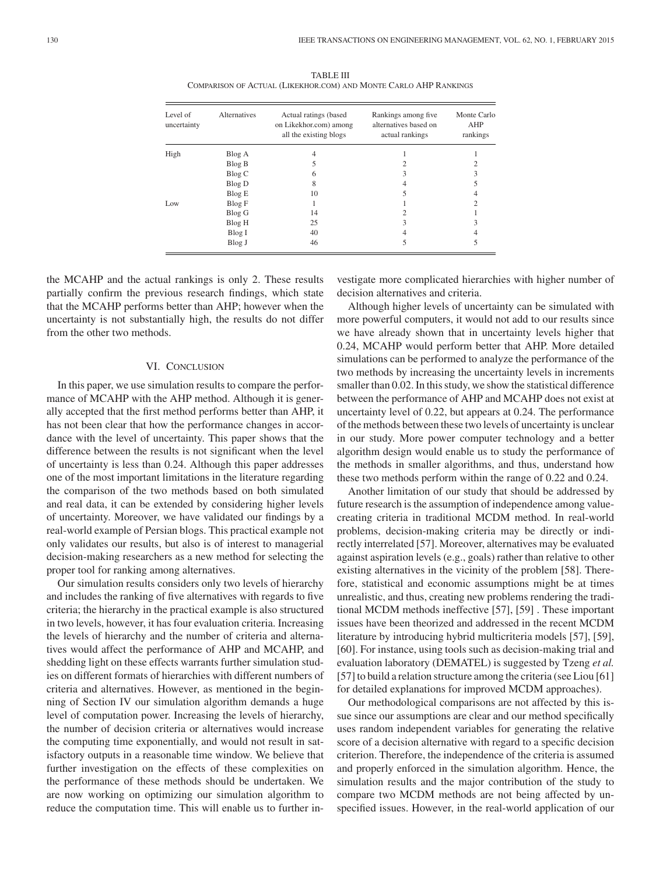| Level of<br>uncertainty | Alternatives | Actual ratings (based<br>on Likekhor.com) among<br>all the existing blogs | Rankings among five.<br>alternatives based on<br>actual rankings | Monte Carlo<br>AHP<br>rankings |
|-------------------------|--------------|---------------------------------------------------------------------------|------------------------------------------------------------------|--------------------------------|
| High                    | Blog A       | 4                                                                         |                                                                  |                                |
|                         | Blog B       |                                                                           |                                                                  |                                |
|                         | Blog C       | h                                                                         | 3                                                                |                                |
|                         | Blog D       | 8                                                                         |                                                                  |                                |
|                         | Blog E       | 10                                                                        | 5                                                                |                                |
| Low                     | Blog F       |                                                                           |                                                                  |                                |
|                         | Blog G       | 14                                                                        | 2                                                                |                                |
|                         | Blog H       | 25                                                                        | ٦                                                                |                                |
|                         | Blog I       | 40                                                                        |                                                                  |                                |
|                         | Blog J       | 46                                                                        |                                                                  | 5                              |

TABLE III COMPARISON OF ACTUAL (LIKEKHOR.COM) AND MONTE CARLO AHP RANKINGS

the MCAHP and the actual rankings is only 2. These results partially confirm the previous research findings, which state that the MCAHP performs better than AHP; however when the uncertainty is not substantially high, the results do not differ from the other two methods.

## VI. CONCLUSION

In this paper, we use simulation results to compare the performance of MCAHP with the AHP method. Although it is generally accepted that the first method performs better than AHP, it has not been clear that how the performance changes in accordance with the level of uncertainty. This paper shows that the difference between the results is not significant when the level of uncertainty is less than 0.24. Although this paper addresses one of the most important limitations in the literature regarding the comparison of the two methods based on both simulated and real data, it can be extended by considering higher levels of uncertainty. Moreover, we have validated our findings by a real-world example of Persian blogs. This practical example not only validates our results, but also is of interest to managerial decision-making researchers as a new method for selecting the proper tool for ranking among alternatives.

Our simulation results considers only two levels of hierarchy and includes the ranking of five alternatives with regards to five criteria; the hierarchy in the practical example is also structured in two levels, however, it has four evaluation criteria. Increasing the levels of hierarchy and the number of criteria and alternatives would affect the performance of AHP and MCAHP, and shedding light on these effects warrants further simulation studies on different formats of hierarchies with different numbers of criteria and alternatives. However, as mentioned in the beginning of Section IV our simulation algorithm demands a huge level of computation power. Increasing the levels of hierarchy, the number of decision criteria or alternatives would increase the computing time exponentially, and would not result in satisfactory outputs in a reasonable time window. We believe that further investigation on the effects of these complexities on the performance of these methods should be undertaken. We are now working on optimizing our simulation algorithm to reduce the computation time. This will enable us to further investigate more complicated hierarchies with higher number of decision alternatives and criteria.

Although higher levels of uncertainty can be simulated with more powerful computers, it would not add to our results since we have already shown that in uncertainty levels higher that 0.24, MCAHP would perform better that AHP. More detailed simulations can be performed to analyze the performance of the two methods by increasing the uncertainty levels in increments smaller than 0.02. In this study, we show the statistical difference between the performance of AHP and MCAHP does not exist at uncertainty level of 0.22, but appears at 0.24. The performance of the methods between these two levels of uncertainty is unclear in our study. More power computer technology and a better algorithm design would enable us to study the performance of the methods in smaller algorithms, and thus, understand how these two methods perform within the range of 0.22 and 0.24.

Another limitation of our study that should be addressed by future research is the assumption of independence among valuecreating criteria in traditional MCDM method. In real-world problems, decision-making criteria may be directly or indirectly interrelated [57]. Moreover, alternatives may be evaluated against aspiration levels (e.g., goals) rather than relative to other existing alternatives in the vicinity of the problem [58]. Therefore, statistical and economic assumptions might be at times unrealistic, and thus, creating new problems rendering the traditional MCDM methods ineffective [57], [59] . These important issues have been theorized and addressed in the recent MCDM literature by introducing hybrid multicriteria models [57], [59], [60]. For instance, using tools such as decision-making trial and evaluation laboratory (DEMATEL) is suggested by Tzeng *et al.* [57] to build a relation structure among the criteria (see Liou [61] for detailed explanations for improved MCDM approaches).

Our methodological comparisons are not affected by this issue since our assumptions are clear and our method specifically uses random independent variables for generating the relative score of a decision alternative with regard to a specific decision criterion. Therefore, the independence of the criteria is assumed and properly enforced in the simulation algorithm. Hence, the simulation results and the major contribution of the study to compare two MCDM methods are not being affected by unspecified issues. However, in the real-world application of our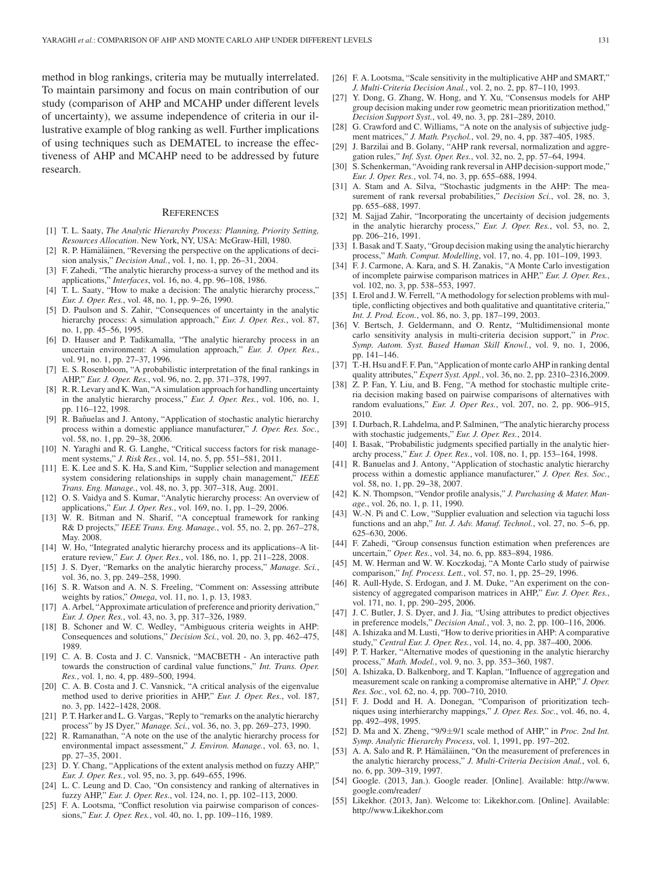method in blog rankings, criteria may be mutually interrelated. To maintain parsimony and focus on main contribution of our study (comparison of AHP and MCAHP under different levels of uncertainty), we assume independence of criteria in our illustrative example of blog ranking as well. Further implications of using techniques such as DEMATEL to increase the effectiveness of AHP and MCAHP need to be addressed by future research.

#### **REFERENCES**

- [1] T. L. Saaty, *The Analytic Hierarchy Process: Planning, Priority Setting, Resources Allocation*. New York, NY, USA: McGraw-Hill, 1980.
- R. P. Hämäläinen, "Reversing the perspective on the applications of decision analysis," *Decision Anal.*, vol. 1, no. 1, pp. 26–31, 2004.
- [3] F. Zahedi, "The analytic hierarchy process-a survey of the method and its applications," *Interfaces*, vol. 16, no. 4, pp. 96–108, 1986.
- [4] T. L. Saaty, "How to make a decision: The analytic hierarchy process," *Eur. J. Oper. Res.*, vol. 48, no. 1, pp. 9–26, 1990.
- [5] D. Paulson and S. Zahir, "Consequences of uncertainty in the analytic hierarchy process: A simulation approach," *Eur. J. Oper. Res.*, vol. 87, no. 1, pp. 45–56, 1995.
- [6] D. Hauser and P. Tadikamalla, "The analytic hierarchy process in an uncertain environment: A simulation approach," *Eur. J. Oper. Res.*, vol. 91, no. 1, pp. 27–37, 1996.
- [7] E. S. Rosenbloom, "A probabilistic interpretation of the final rankings in AHP," *Eur. J. Oper. Res.*, vol. 96, no. 2, pp. 371–378, 1997.
- [8] R. R. Levary and K. Wan, "A simulation approach for handling uncertainty in the analytic hierarchy process," *Eur. J. Oper. Res.*, vol. 106, no. 1, pp. 116–122, 1998.
- [9] R. Bañuelas and J. Antony, "Application of stochastic analytic hierarchy process within a domestic appliance manufacturer," *J. Oper. Res. Soc.*, vol. 58, no. 1, pp. 29–38, 2006.
- [10] N. Yaraghi and R. G. Langhe, "Critical success factors for risk management systems," *J. Risk Res.*, vol. 14, no. 5, pp. 551–581, 2011.
- [11] E. K. Lee and S. K. Ha, S.and Kim, "Supplier selection and management system considering relationships in supply chain management," *IEEE Trans. Eng. Manage.*, vol. 48, no. 3, pp. 307–318, Aug. 2001.
- [12] O. S. Vaidya and S. Kumar, "Analytic hierarchy process: An overview of applications," *Eur. J. Oper. Res.*, vol. 169, no. 1, pp. 1–29, 2006.
- [13] W. R. Bitman and N. Sharif, "A conceptual framework for ranking R& D projects," *IEEE Trans. Eng. Manage.*, vol. 55, no. 2, pp. 267–278, May. 2008.
- [14] W. Ho, "Integrated analytic hierarchy process and its applications–A literature review," *Eur. J. Oper. Res.*, vol. 186, no. 1, pp. 211–228, 2008.
- [15] J. S. Dyer, "Remarks on the analytic hierarchy process," *Manage. Sci.*, vol. 36, no. 3, pp. 249–258, 1990.
- [16] S. R. Watson and A. N. S. Freeling, "Comment on: Assessing attribute weights by ratios," *Omega*, vol. 11, no. 1, p. 13, 1983.
- [17] A. Arbel, "Approximate articulation of preference and priority derivation," *Eur. J. Oper. Res.*, vol. 43, no. 3, pp. 317–326, 1989.
- [18] B. Schoner and W. C. Wedley, "Ambiguous criteria weights in AHP: Consequences and solutions," *Decision Sci.*, vol. 20, no. 3, pp. 462–475, 1989.
- [19] C. A. B. Costa and J. C. Vansnick, "MACBETH An interactive path towards the construction of cardinal value functions," *Int. Trans. Oper. Res.*, vol. 1, no. 4, pp. 489–500, 1994.
- [20] C. A. B. Costa and J. C. Vansnick, "A critical analysis of the eigenvalue method used to derive priorities in AHP," *Eur. J. Oper. Res.*, vol. 187, no. 3, pp. 1422–1428, 2008.
- [21] P. T. Harker and L. G. Vargas, "Reply to "remarks on the analytic hierarchy process" by JS Dyer," *Manage. Sci.*, vol. 36, no. 3, pp. 269–273, 1990.
- [22] R. Ramanathan, "A note on the use of the analytic hierarchy process for environmental impact assessment," *J. Environ. Manage.*, vol. 63, no. 1, pp. 27–35, 2001.
- [23] D. Y. Chang, "Applications of the extent analysis method on fuzzy AHP," *Eur. J. Oper. Res.*, vol. 95, no. 3, pp. 649–655, 1996.
- [24] L. C. Leung and D. Cao, "On consistency and ranking of alternatives in fuzzy AHP," *Eur. J. Oper. Res.*, vol. 124, no. 1, pp. 102–113, 2000.
- [25] F. A. Lootsma, "Conflict resolution via pairwise comparison of concessions," *Eur. J. Oper. Res.*, vol. 40, no. 1, pp. 109–116, 1989.
- [26] F. A. Lootsma, "Scale sensitivity in the multiplicative AHP and SMART," *J. Multi-Criteria Decision Anal.*, vol. 2, no. 2, pp. 87–110, 1993.
- [27] Y. Dong, G. Zhang, W. Hong, and Y. Xu, "Consensus models for AHP group decision making under row geometric mean prioritization method," *Decision Support Syst.*, vol. 49, no. 3, pp. 281–289, 2010.
- [28] G. Crawford and C. Williams, "A note on the analysis of subjective judgment matrices," *J. Math. Psychol.*, vol. 29, no. 4, pp. 387–405, 1985.
- [29] J. Barzilai and B. Golany, "AHP rank reversal, normalization and aggregation rules," *Inf. Syst. Oper. Res.*, vol. 32, no. 2, pp. 57–64, 1994.
- [30] S. Schenkerman, "Avoiding rank reversal in AHP decision-support mode," *Eur. J. Oper. Res.*, vol. 74, no. 3, pp. 655–688, 1994.
- [31] A. Stam and A. Silva, "Stochastic judgments in the AHP: The measurement of rank reversal probabilities," *Decision Sci.*, vol. 28, no. 3, pp. 655–688, 1997.
- [32] M. Sajjad Zahir, "Incorporating the uncertainty of decision judgements in the analytic hierarchy process," *Eur. J. Oper. Res.*, vol. 53, no. 2, pp. 206–216, 1991.
- [33] I. Basak and T. Saaty, "Group decision making using the analytic hierarchy process," *Math. Comput. Modelling*, vol. 17, no. 4, pp. 101–109, 1993.
- [34] F. J. Carmone, A. Kara, and S. H. Zanakis, "A Monte Carlo investigation of incomplete pairwise comparison matrices in AHP," *Eur. J. Oper. Res.*, vol. 102, no. 3, pp. 538–553, 1997.
- [35] I. Erol and J. W. Ferrell, "A methodology for selection problems with multiple, conflicting objectives and both qualitative and quantitative criteria," *Int. J. Prod. Econ.*, vol. 86, no. 3, pp. 187–199, 2003.
- [36] V. Bertsch, J. Geldermann, and O. Rentz, "Multidimensional monte carlo sensitivity analysis in multi-criteria decision support," in *Proc. Symp. Autom. Syst. Based Human Skill Knowl.*, vol. 9, no. 1, 2006, pp. 141–146.
- [37] T.-H. Hsu and F. F. Pan, "Application of monte carlo AHP in ranking dental quality attributes," *Expert Syst. Appl.*, vol. 36, no. 2, pp. 2310–2316,2009.
- [38] Z. P. Fan, Y. Liu, and B. Feng, "A method for stochastic multiple criteria decision making based on pairwise comparisons of alternatives with random evaluations," *Eur. J. Oper Res.*, vol. 207, no. 2, pp. 906–915, 2010.
- [39] I. Durbach, R. Lahdelma, and P. Salminen, "The analytic hierarchy process with stochastic judgements," *Eur. J. Oper. Res.*, 2014.
- [40] I. Basak, "Probabilistic judgments specified partially in the analytic hierarchy process," *Eur. J. Oper. Res.*, vol. 108, no. 1, pp. 153–164, 1998.
- [41] R. Banuelas and J. Antony, "Application of stochastic analytic hierarchy process within a domestic appliance manufacturer," *J. Oper. Res. Soc.*, vol. 58, no. 1, pp. 29–38, 2007.
- [42] K. N. Thompson, "Vendor profile analysis," *J. Purchasing & Mater. Manage.*, vol. 26, no. 1, p. 11, 1990.
- [43] W.-N. Pi and C. Low, "Supplier evaluation and selection via taguchi loss functions and an ahp," *Int. J. Adv. Manuf. Technol.*, vol. 27, no. 5–6, pp. 625–630, 2006.
- [44] F. Zahedi, "Group consensus function estimation when preferences are uncertain," *Oper. Res.*, vol. 34, no. 6, pp. 883–894, 1986.
- [45] M. W. Herman and W. W. Koczkodaj, "A Monte Carlo study of pairwise comparison," *Inf. Process. Lett.*, vol. 57, no. 1, pp. 25–29, 1996.
- [46] R. Aull-Hyde, S. Erdogan, and J. M. Duke, "An experiment on the consistency of aggregated comparison matrices in AHP," *Eur. J. Oper. Res.*, vol. 171, no. 1, pp. 290–295, 2006.
- [47] J. C. Butler, J. S. Dyer, and J. Jia, "Using attributes to predict objectives in preference models," *Decision Anal.*, vol. 3, no. 2, pp. 100–116, 2006.
- [48] A. Ishizaka and M. Lusti, "How to derive priorities in AHP: A comparative study," *Central Eur. J. Oper. Res.*, vol. 14, no. 4, pp. 387–400, 2006.
- [49] P. T. Harker, "Alternative modes of questioning in the analytic hierarchy process," *Math. Model.*, vol. 9, no. 3, pp. 353–360, 1987.
- [50] A. Ishizaka, D. Balkenborg, and T. Kaplan, "Influence of aggregation and measurement scale on ranking a compromise alternative in AHP," *J. Oper. Res. Soc.*, vol. 62, no. 4, pp. 700–710, 2010.
- [51] F. J. Dodd and H. A. Donegan, "Comparison of prioritization techniques using interhierarchy mappings," *J. Oper. Res. Soc.*, vol. 46, no. 4, pp. 492–498, 1995.
- [52] D. Ma and X. Zheng, "9/9±9/1 scale method of AHP," in *Proc. 2nd Int. Symp. Analytic Hierarchy Process*, vol. 1, 1991, pp. 197–202.
- [53] A. A. Salo and R. P. Hämäläinen, "On the measurement of preferences in the analytic hierarchy process," *J. Multi-Criteria Decision Anal.*, vol. 6, no. 6, pp. 309–319, 1997.
- [54] Google. (2013, Jan.). Google reader. [Online]. Available: http://www. google.com/reader/
- [55] Likekhor. (2013, Jan). Welcome to: Likekhor.com. [Online]. Available: http://www.Likekhor.com